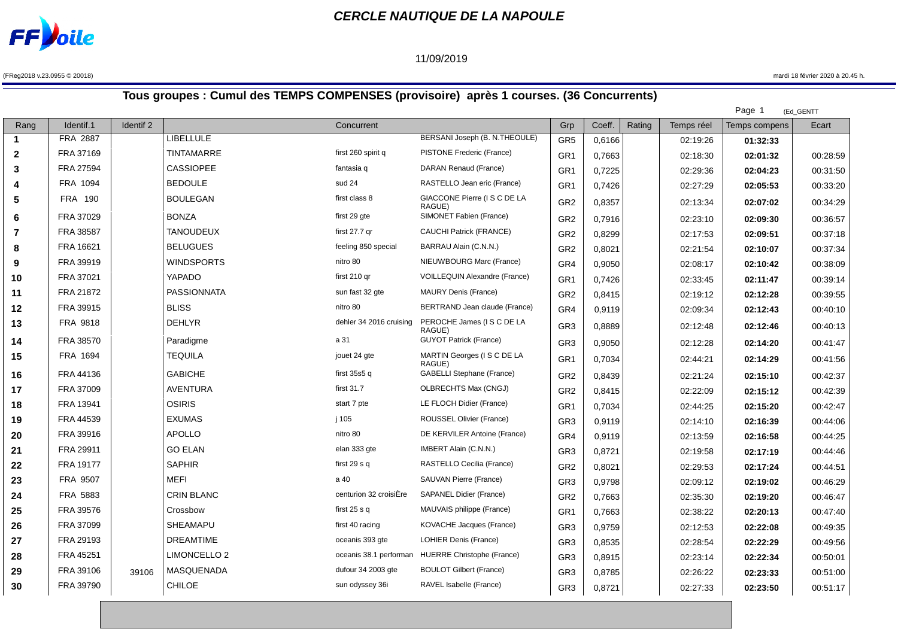

## **CERCLE NAUTIQUE DE LA NAPOULE**

## 11/09/2019

(FReg2018 v.23.0955 © 20018) mardi 18 février 2020 à 20.45 h.

 $\mathbb{R}^2$ 

## **Tous groupes : Cumul des TEMPS COMPENSES (provisoire) après 1 courses. (36 Concurrents)**

|                 |           |                         |                         |                                      |                                                      |        |        |            | Page 1        | (Ed_GENTT |
|-----------------|-----------|-------------------------|-------------------------|--------------------------------------|------------------------------------------------------|--------|--------|------------|---------------|-----------|
| Identif.1       | Identif 2 |                         | Concurrent              |                                      | Grp                                                  | Coeff. | Rating | Temps réel | Temps compens | Ecart     |
| <b>FRA 2887</b> |           | <b>LIBELLULE</b>        |                         | BERSANI Joseph (B. N.THEOULE)        | GR <sub>5</sub>                                      | 0,6166 |        | 02:19:26   | 01:32:33      |           |
| FRA 37169       |           | TINTAMARRE              | first 260 spirit q      | PISTONE Frederic (France)            | GR <sub>1</sub>                                      | 0,7663 |        | 02:18:30   | 02:01:32      | 00:28:59  |
| FRA 27594       |           | <b>CASSIOPEE</b>        | fantasia q              | DARAN Renaud (France)                | GR <sub>1</sub>                                      | 0,7225 |        | 02:29:36   | 02:04:23      | 00:31:50  |
| FRA 1094        |           | <b>BEDOULE</b>          | sud 24                  | RASTELLO Jean eric (France)          | GR <sub>1</sub>                                      | 0,7426 |        | 02:27:29   | 02:05:53      | 00:33:20  |
| <b>FRA 190</b>  |           | <b>BOULEGAN</b>         | first class 8           | GIACCONE Pierre (I S C DE LA         | GR <sub>2</sub>                                      | 0,8357 |        | 02:13:34   | 02:07:02      | 00:34:29  |
| FRA 37029       |           | <b>BONZA</b>            | first 29 gte            | SIMONET Fabien (France)              | GR <sub>2</sub>                                      | 0,7916 |        | 02:23:10   | 02:09:30      | 00:36:57  |
| FRA 38587       |           | <b>TANOUDEUX</b>        | first 27.7 gr           | CAUCHI Patrick (FRANCE)              | GR <sub>2</sub>                                      | 0,8299 |        | 02:17:53   | 02:09:51      | 00:37:18  |
| FRA 16621       |           | <b>BELUGUES</b>         | feeling 850 special     | BARRAU Alain (C.N.N.)                | GR <sub>2</sub>                                      | 0,8021 |        | 02:21:54   | 02:10:07      | 00:37:34  |
| FRA 39919       |           | <b>WINDSPORTS</b>       | nitro 80                | NIEUWBOURG Marc (France)             | GR <sub>4</sub>                                      | 0,9050 |        | 02:08:17   | 02:10:42      | 00:38:09  |
| FRA 37021       |           | YAPADO                  | first 210 gr            | <b>VOILLEQUIN Alexandre (France)</b> | GR1                                                  | 0,7426 |        | 02:33:45   | 02:11:47      | 00:39:14  |
| FRA 21872       |           | <b>PASSIONNATA</b>      | sun fast 32 gte         | <b>MAURY Denis (France)</b>          | GR <sub>2</sub>                                      | 0,8415 |        | 02:19:12   | 02:12:28      | 00:39:55  |
| FRA 39915       |           | <b>BLISS</b>            | nitro 80                | BERTRAND Jean claude (France)        | GR <sub>4</sub>                                      | 0,9119 |        | 02:09:34   | 02:12:43      | 00:40:10  |
| <b>FRA 9818</b> |           | <b>DEHLYR</b>           | dehler 34 2016 cruising | PEROCHE James (I S C DE LA           | GR <sub>3</sub>                                      | 0,8889 |        | 02:12:48   | 02:12:46      | 00:40:13  |
| FRA 38570       |           | Paradigme               | a 31                    | <b>GUYOT Patrick (France)</b>        | GR <sub>3</sub>                                      | 0,9050 |        | 02:12:28   | 02:14:20      | 00:41:47  |
| FRA 1694        |           | <b>TEQUILA</b>          | jouet 24 gte            | MARTIN Georges (I S C DE LA          | GR <sub>1</sub>                                      | 0,7034 |        | 02:44:21   | 02:14:29      | 00:41:56  |
| FRA 44136       |           | <b>GABICHE</b>          | first 35s5 q            | GABELLI Stephane (France)            | GR <sub>2</sub>                                      | 0,8439 |        | 02:21:24   | 02:15:10      | 00:42:37  |
| FRA 37009       |           | <b>AVENTURA</b>         | first $31.7$            | OLBRECHTS Max (CNGJ)                 | GR <sub>2</sub>                                      | 0,8415 |        | 02:22:09   | 02:15:12      | 00:42:39  |
| FRA 13941       |           | <b>OSIRIS</b>           | start 7 pte             | LE FLOCH Didier (France)             | GR <sub>1</sub>                                      | 0,7034 |        | 02:44:25   | 02:15:20      | 00:42:47  |
| FRA 44539       |           | <b>EXUMAS</b>           | j 105                   | ROUSSEL Olivier (France)             | GR <sub>3</sub>                                      | 0,9119 |        | 02:14:10   | 02:16:39      | 00:44:06  |
| FRA 39916       |           | <b>APOLLO</b>           | nitro 80                | DE KERVILER Antoine (France)         | GR4                                                  | 0,9119 |        | 02:13:59   | 02:16:58      | 00:44:25  |
| FRA 29911       |           | <b>GO ELAN</b>          | elan 333 gte            | IMBERT Alain (C.N.N.)                | GR <sub>3</sub>                                      | 0,8721 |        | 02:19:58   | 02:17:19      | 00:44:46  |
| FRA 19177       |           | <b>SAPHIR</b>           | first 29 s q            | RASTELLO Cecilia (France)            | GR <sub>2</sub>                                      | 0,8021 |        | 02:29:53   | 02:17:24      | 00:44:51  |
| FRA 9507        |           | <b>MEFI</b>             | a 40                    | SAUVAN Pierre (France)               | GR <sub>3</sub>                                      | 0,9798 |        | 02:09:12   | 02:19:02      | 00:46:29  |
| FRA 5883        |           | <b>CRIN BLANC</b>       | centurion 32 croisiÈre  | SAPANEL Didier (France)              | GR <sub>2</sub>                                      | 0,7663 |        | 02:35:30   | 02:19:20      | 00:46:47  |
| FRA 39576       |           | Crossbow                | first $25 s q$          | MAUVAIS philippe (France)            | GR1                                                  | 0,7663 |        | 02:38:22   | 02:20:13      | 00:47:40  |
| FRA 37099       |           | <b>SHEAMAPU</b>         | first 40 racing         | KOVACHE Jacques (France)             | GR <sub>3</sub>                                      | 0,9759 |        | 02:12:53   | 02:22:08      | 00:49:35  |
| FRA 29193       |           | <b>DREAMTIME</b>        | oceanis 393 gte         | <b>LOHIER Denis (France)</b>         | GR <sub>3</sub>                                      | 0,8535 |        | 02:28:54   | 02:22:29      | 00:49:56  |
| FRA 45251       |           | LIMONCELLO <sub>2</sub> |                         | <b>HUERRE Christophe (France)</b>    | GR <sub>3</sub>                                      | 0,8915 |        | 02:23:14   | 02:22:34      | 00:50:01  |
| FRA 39106       | 39106     | MASQUENADA              | dufour 34 2003 gte      | <b>BOULOT Gilbert (France)</b>       | GR <sub>3</sub>                                      | 0,8785 |        | 02:26:22   | 02:23:33      | 00:51:00  |
| FRA 39790       |           | <b>CHILOE</b>           | sun odyssey 36i         | RAVEL Isabelle (France)              | GR <sub>3</sub>                                      | 0,8721 |        | 02:27:33   | 02:23:50      | 00:51:17  |
|                 |           |                         |                         |                                      | RAGUE)<br>RAGUE)<br>RAGUE)<br>oceanis 38.1 performan |        |        |            |               |           |